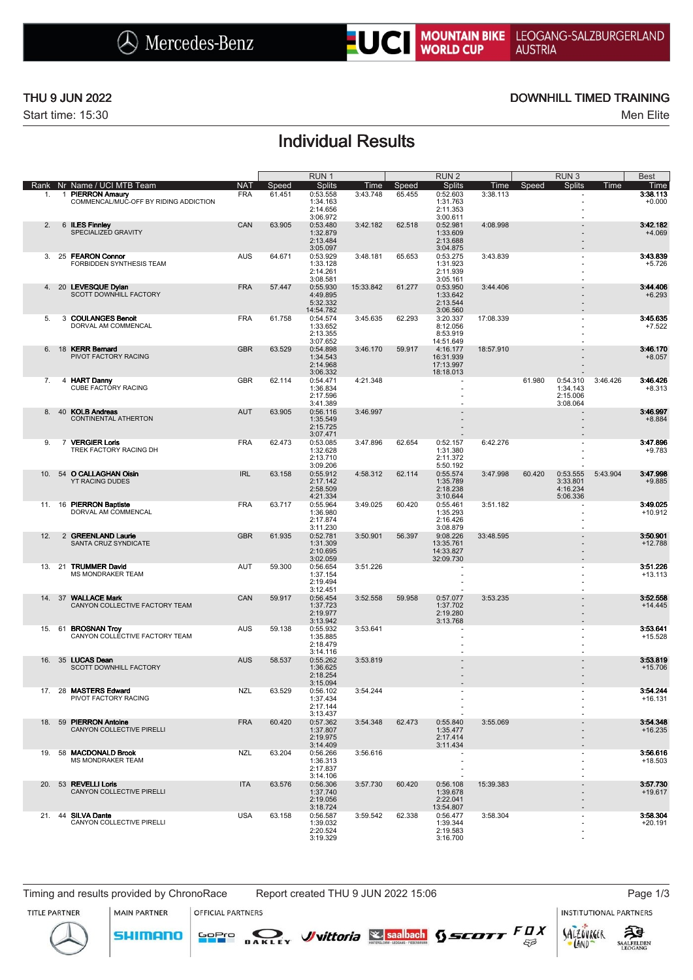

Start time: 15:30 Men Elite

### THU 9 JUN 2022 **DOWNHILL TIMED TRAINING**

# Individual Results

|     |    |                                                           |            |        | RUN <sub>1</sub>      |           |        | RUN <sub>2</sub>         |           |        | RUN <sub>3</sub>     |          | <b>Best</b>           |
|-----|----|-----------------------------------------------------------|------------|--------|-----------------------|-----------|--------|--------------------------|-----------|--------|----------------------|----------|-----------------------|
|     |    | Rank Nr Name / UCI MTB Team                               | <b>NAT</b> | Speed  | <b>Splits</b>         | Time      | Speed  | <b>Splits</b>            | Time      | Speed  | <b>Splits</b>        | Time     | Time                  |
| 1.  |    | 1 PIERRON Amaury<br>COMMENCAL/MUC-OFF BY RIDING ADDICTION | <b>FRA</b> | 61.451 | 0:53.558<br>1:34.163  | 3:43.748  | 65.455 | 0:52.603<br>1:31.763     | 3:38.113  |        |                      |          | 3:38.113<br>$+0.000$  |
|     |    |                                                           |            |        | 2:14.656              |           |        | 2:11.353                 |           |        |                      |          |                       |
|     |    |                                                           |            |        | 3:06.972              |           |        | 3:00.611                 |           |        |                      |          |                       |
| 2.  |    | 6 ILES Finnley                                            | CAN        | 63.905 | 0:53.480              | 3:42.182  | 62.518 | 0:52.981                 | 4:08.998  |        |                      |          | 3:42.182              |
|     |    | SPECIALIZED GRAVITY                                       |            |        | 1:32.879<br>2:13.484  |           |        | 1:33.609<br>2:13.688     |           |        |                      |          | $+4.069$              |
|     |    |                                                           |            |        | 3:05.097              |           |        | 3:04.875                 |           |        |                      |          |                       |
| 3.  |    | 25 FEARON Connor                                          | <b>AUS</b> | 64.671 | 0:53.929              | 3:48.181  | 65.653 | 0:53.275                 | 3:43.839  |        |                      |          | 3:43.839              |
|     |    | FORBIDDEN SYNTHESIS TEAM                                  |            |        | 1:33.128<br>2:14.261  |           |        | 1:31.923<br>2:11.939     |           |        |                      |          | $+5.726$              |
|     |    |                                                           |            |        | 3:08.581              |           |        | 3:05.161                 |           |        |                      |          |                       |
| 4.  |    | 20 LEVESQUE Dvlan                                         | <b>FRA</b> | 57.447 | 0:55.930              | 15:33.842 | 61.277 | 0:53.950                 | 3:44.406  |        |                      |          | 3:44.406              |
|     |    | SCOTT DOWNHILL FACTORY                                    |            |        | 4:49.895              |           |        | 1:33.642                 |           |        |                      |          | $+6.293$              |
|     |    |                                                           |            |        | 5:32.332<br>14:54.782 |           |        | 2:13.544<br>3:06.560     |           |        |                      |          |                       |
| 5.  |    | 3 COULANGES Benoit                                        | <b>FRA</b> | 61.758 | 0:54.574              | 3:45.635  | 62.293 | 3:20.337                 | 17:08.339 |        |                      |          | 3:45.635              |
|     |    | DORVAL AM COMMENCAL                                       |            |        | 1:33.652              |           |        | 8:12.056                 |           |        |                      |          | $+7.522$              |
|     |    |                                                           |            |        | 2:13.355              |           |        | 8:53.919                 |           |        |                      |          |                       |
| 6.  | 18 | <b>KERR Bernard</b>                                       | <b>GBR</b> | 63.529 | 3:07.652<br>0:54.898  | 3:46.170  | 59.917 | 14:51.649<br>4:16.177    | 18:57.910 |        |                      |          | 3:46.170              |
|     |    | PIVOT FACTORY RACING                                      |            |        | 1:34.543              |           |        | 16:31.939                |           |        |                      |          | $+8.057$              |
|     |    |                                                           |            |        | 2:14.968              |           |        | 17:13.997                |           |        |                      |          |                       |
|     |    |                                                           |            |        | 3:06.332              |           |        | 18:18.013                |           |        |                      |          |                       |
| 7.  |    | 4 HART Danny<br>CUBE FACTORY RACING                       | <b>GBR</b> | 62.114 | 0:54.471<br>1:36.834  | 4:21.348  |        |                          |           | 61.980 | 0:54.310<br>1:34.143 | 3:46.426 | 3:46.426<br>$+8.313$  |
|     |    |                                                           |            |        | 2:17.596              |           |        |                          |           |        | 2:15.006             |          |                       |
|     |    |                                                           |            |        | 3:41.389              |           |        |                          |           |        | 3:08.064             |          |                       |
| 8.  |    | 40 KOLB Andreas                                           | <b>AUT</b> | 63.905 | 0:56.116              | 3:46.997  |        |                          |           |        |                      |          | 3:46.997              |
|     |    | CONTINENTAL ATHERTON                                      |            |        | 1:35.549<br>2:15.725  |           |        |                          |           |        |                      |          | $+8.884$              |
|     |    |                                                           |            |        | 3:07.471              |           |        |                          |           |        |                      |          |                       |
| 9.  |    | 7 VERGIER Loris                                           | <b>FRA</b> | 62.473 | 0:53.085              | 3:47.896  | 62.654 | 0:52.157                 | 6:42.276  |        |                      |          | 3:47.896              |
|     |    | TREK FACTORY RACING DH                                    |            |        | 1:32.628              |           |        | 1:31.380                 |           |        |                      |          | $+9.783$              |
|     |    |                                                           |            |        | 2:13.710<br>3:09.206  |           |        | 2:11.372<br>5:50.192     |           |        |                      |          |                       |
| 10. |    | 54 O CALLAGHAN Oisin                                      | <b>IRL</b> | 63.158 | 0:55.912              | 4:58.312  | 62.114 | 0:55.574                 | 3:47.998  | 60.420 | 0:53.555             | 5:43.904 | 3:47.998              |
|     |    | YT RACING DUDES                                           |            |        | 2:17.142              |           |        | 1:35.789                 |           |        | 3:33.801             |          | $+9.885$              |
|     |    |                                                           |            |        | 2:58.509              |           |        | 2:18.238                 |           |        | 4:16.234             |          |                       |
|     |    |                                                           |            |        | 4:21.334              |           |        | 3:10.644                 |           |        | 5:06.336             |          |                       |
| 11. | 16 | <b>PIERRON Baptiste</b><br>DORVAL AM COMMENCAL            | <b>FRA</b> | 63.717 | 0:55.964<br>1:36.980  | 3:49.025  | 60.420 | 0:55.461<br>1:35.293     | 3:51.182  |        | ÷                    |          | 3:49.025<br>$+10.912$ |
|     |    |                                                           |            |        | 2:17.874              |           |        | 2:16.426                 |           |        |                      |          |                       |
|     |    |                                                           |            |        | 3:11.230              |           |        | 3:08.879                 |           |        |                      |          |                       |
| 12. |    | 2 GREENLAND Laurie<br>SANTA CRUZ SYNDICATE                | <b>GBR</b> | 61.935 | 0:52.781              | 3:50.901  | 56.397 | 9:08.226                 | 33:48.595 |        |                      |          | 3:50.901              |
|     |    |                                                           |            |        | 1:31.309<br>2:10.695  |           |        | 13:35.761<br>14:33.827   |           |        |                      |          | $+12.788$             |
|     |    |                                                           |            |        | 3:02.059              |           |        | 32:09.730                |           |        |                      |          |                       |
| 13. |    | 21 TRUMMER David                                          | AUT        | 59.300 | 0:56.654              | 3:51.226  |        | $\overline{\phantom{a}}$ |           |        |                      |          | 3:51.226              |
|     |    | <b>MS MONDRAKER TEAM</b>                                  |            |        | 1:37.154<br>2:19.494  |           |        |                          |           |        |                      |          | $+13.113$             |
|     |    |                                                           |            |        | 3:12.451              |           |        |                          |           |        |                      |          |                       |
| 14. |    | 37 WALLACE Mark                                           | CAN        | 59.917 | 0:56.454              | 3:52.558  | 59.958 | 0:57.077                 | 3:53.235  |        |                      |          | 3:52.558              |
|     |    | CANYON COLLECTIVE FACTORY TEAM                            |            |        | 1:37.723              |           |        | 1:37.702                 |           |        |                      |          | $+14.445$             |
|     |    |                                                           |            |        | 2:19.977<br>3:13.942  |           |        | 2:19.280<br>3:13.768     |           |        |                      |          |                       |
| 15. | 61 | <b>BROSNAN Troy</b>                                       | <b>AUS</b> | 59.138 | 0:55.932              | 3:53.641  |        |                          |           |        |                      |          | 3:53.641              |
|     |    | CANYON COLLECTIVE FACTORY TEAM                            |            |        | 1:35.885              |           |        |                          |           |        |                      |          | $+15.528$             |
|     |    |                                                           |            |        | 2:18.479              |           |        |                          |           |        |                      |          |                       |
| 16. |    | 35 LUCAS Dean                                             | <b>AUS</b> | 58.537 | 3:14.116<br>0:55.262  | 3:53.819  |        |                          |           |        |                      |          | 3:53.819              |
|     |    | SCOTT DOWNHILL FACTORY                                    |            |        | 1:36.625              |           |        |                          |           |        |                      |          | $+15.706$             |
|     |    |                                                           |            |        | 2:18.254              |           |        |                          |           |        |                      |          |                       |
|     |    |                                                           |            |        | 3:15.094              |           |        |                          |           |        |                      |          |                       |
|     |    | 17. 28 MASTERS Edward<br>PIVOT FACTORY RACING             | <b>NZL</b> | 63.529 | 0:56.102<br>1:37.434  | 3:54.244  |        |                          |           |        |                      |          | 3:54.244<br>$+16.131$ |
|     |    |                                                           |            |        | 2:17.144              |           |        |                          |           |        |                      |          |                       |
|     |    |                                                           |            |        | 3:13.437              |           |        |                          |           |        |                      |          |                       |
|     |    | 18. 59 PIERRON Antoine                                    | <b>FRA</b> | 60.420 | 0:57.362              | 3:54.348  | 62.473 | 0:55.840                 | 3:55.069  |        |                      |          | 3:54.348              |
|     |    | CANYON COLLECTIVE PIRELLI                                 |            |        | 1:37.807<br>2:19.975  |           |        | 1:35.477<br>2:17.414     |           |        |                      |          | $+16.235$             |
|     |    |                                                           |            |        | 3:14.409              |           |        | 3:11.434                 |           |        |                      |          |                       |
| 19. |    | 58 MACDONALD Brook                                        | NZL        | 63.204 | 0:56.266              | 3:56.616  |        |                          |           |        |                      |          | 3:56.616              |
|     |    | <b>MS MONDRAKER TEAM</b>                                  |            |        | 1:36.313              |           |        |                          |           |        |                      |          | $+18.503$             |
|     |    |                                                           |            |        | 2:17.837<br>3:14.106  |           |        |                          |           |        |                      |          |                       |
|     |    | 20. 53 REVELLI Loris                                      | <b>ITA</b> | 63.576 | 0:56.306              | 3:57.730  | 60.420 | 0:56.108                 | 15:39.383 |        |                      |          | 3:57.730              |
|     |    | <b>CANYON COLLECTIVE PIRELLI</b>                          |            |        | 1:37.740              |           |        | 1:39.678                 |           |        |                      |          | $+19.617$             |
|     |    |                                                           |            |        | 2:19.056              |           |        | 2:22.041                 |           |        |                      |          |                       |
|     |    | 21. 44 SILVA Dante                                        | <b>USA</b> | 63.158 | 3:18.724<br>0:56.587  | 3:59.542  | 62.338 | 13:54.807<br>0:56.477    | 3:58.304  |        |                      |          | 3:58.304              |
|     |    | CANYON COLLECTIVE PIRELLI                                 |            |        | 1:39.032              |           |        | 1:39.344                 |           |        |                      |          | $+20.191$             |
|     |    |                                                           |            |        | 2:20.524              |           |        | 2:19.583                 |           |        |                      |          |                       |
|     |    |                                                           |            |        | 3:19.329              |           |        | 3:16.700                 |           |        |                      |          |                       |

Timing and results provided by ChronoRace Report created THU 9 JUN 2022 15:06 Page 1/3

**MAIN PARTNER** 

**SHIMANO** 

OFFICIAL PARTNERS

SOPIO DAKLEY Vittoria & saabach SSCOTT FUX

**INSTITUTIONAL PARTNERS** 

SALZOVREER

LAND

 $53$ 



ट्रीडे

**SAALFELDEN**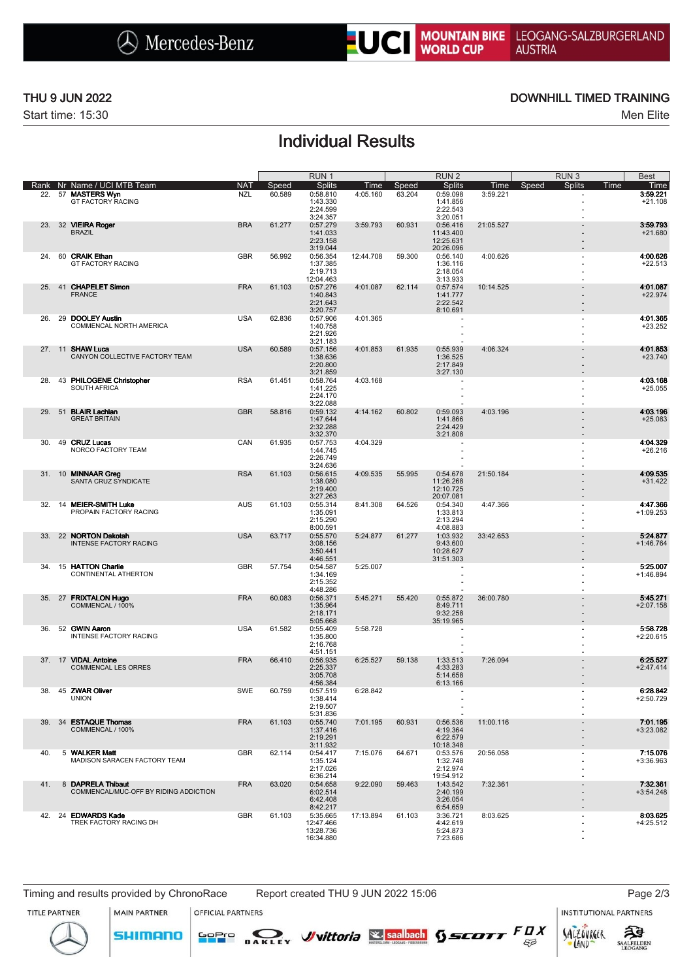

Start time: 15:30 Men Elite

### THU 9 JUN 2022 **DOWNHILL TIMED TRAINING**

# Individual Results

|     |                                    |                                                            |                          |                 | RUN <sub>1</sub>                                         |                  |                 | RUN <sub>2</sub>                                            |                  | RUN <sub>3</sub>         | <b>Best</b>                           |
|-----|------------------------------------|------------------------------------------------------------|--------------------------|-----------------|----------------------------------------------------------|------------------|-----------------|-------------------------------------------------------------|------------------|--------------------------|---------------------------------------|
|     | 22. 57 MASTERS Wyn                 | Rank Nr Name / UCI MTB Team<br><b>GT FACTORY RACING</b>    | <b>NAT</b><br><b>NZL</b> | Speed<br>60.589 | <b>Splits</b><br>0:58.810<br>1:43.330<br>2:24.599        | Time<br>4:05.160 | Speed<br>63.204 | <b>Splits</b><br>0:59.098<br>1:41.856<br>2:22.543           | Time<br>3:59.221 | <b>Splits</b><br>Speed   | Time<br>Time<br>3:59.221<br>$+21.108$ |
| 23. | 32 VIEIRA Roger<br><b>BRAZIL</b>   |                                                            | <b>BRA</b>               | 61.277          | 3:24.357<br>0:57.279<br>1:41.033<br>2:23.158<br>3:19.044 | 3:59.793         | 60.931          | 3:20.051<br>0:56.416<br>11:43.400<br>12:25.631<br>20:26.096 | 21:05.527        |                          | 3:59.793<br>$+21.680$                 |
| 24. | 60 CRAIK Ethan                     | <b>GT FACTORY RACING</b>                                   | <b>GBR</b>               | 56.992          | 0:56.354<br>1:37.385<br>2:19.713<br>12:04.463            | 12:44.708        | 59.300          | 0:56.140<br>1:36.116<br>2:18.054<br>3:13.933                | 4:00.626         | ٠                        | 4:00.626<br>$+22.513$                 |
| 25. | <b>FRANCE</b>                      | 41 CHAPELET Simon                                          | <b>FRA</b>               | 61.103          | 0:57.276<br>1:40.843<br>2:21.643<br>3:20.757             | 4:01.087         | 62.114          | 0:57.574<br>1:41.777<br>2:22.542<br>8:10.691                | 10:14.525        | $\overline{\phantom{0}}$ | 4:01.087<br>$+22.974$                 |
| 26. |                                    | 29 DOOLEY Austin<br>COMMENCAL NORTH AMERICA                | <b>USA</b>               | 62.836          | 0:57.906<br>1:40.758<br>2:21.926<br>3:21.183             | 4:01.365         |                 | ٠                                                           |                  | ٠                        | 4:01.365<br>$+23.252$                 |
|     | 27. 11 SHAW Luca                   | CANYON COLLECTIVE FACTORY TEAM                             | <b>USA</b>               | 60.589          | 0:57.156<br>1:38.636<br>2:20.800<br>3:21.859             | 4:01.853         | 61.935          | 0:55.939<br>1:36.525<br>2:17.849<br>3:27.130                | 4:06.324         |                          | 4:01.853<br>$+23.740$                 |
| 28. |                                    | 43 PHILOGENE Christopher<br>SOUTH AFRICA                   | <b>RSA</b>               | 61.451          | 0:58.764<br>1:41.225<br>2:24.170<br>3:22.088             | 4:03.168         |                 | ÷                                                           |                  | ä,                       | 4:03.168<br>$+25.055$                 |
| 29. | 51 BLAIR Lachlan                   | <b>GREAT BRITAIN</b>                                       | <b>GBR</b>               | 58.816          | 0:59.132<br>1:47.644<br>2:32.288<br>3:32.370             | 4:14.162         | 60.802          | 0:59.093<br>1:41.866<br>2:24.429<br>3:21.808                | 4:03.196         |                          | 4:03.196<br>$+25.083$                 |
| 30. | 49 CRUZ Lucas                      | NORCO FACTORY TEAM                                         | CAN                      | 61.935          | 0:57.753<br>1:44.745<br>2:26.749<br>3:24.636             | 4:04.329         |                 | ×                                                           |                  | ٠                        | 4:04.329<br>$+26.216$                 |
|     | 31. 10 MINNAAR Greg                | SANTA CRUZ SYNDICATE                                       | <b>RSA</b>               | 61.103          | 0:56.615<br>1:38.080<br>2:19.400<br>3:27.263             | 4:09.535         | 55.995          | 0:54.678<br>11:26.268<br>12:10.725<br>20:07.081             | 21:50.184        |                          | 4:09.535<br>$+31.422$                 |
| 32. |                                    | 14 MEIER-SMITH Luke<br>PROPAIN FACTORY RACING              | AUS                      | 61.103          | 0:55.314<br>1:35.091<br>2:15.290<br>8:00.591             | 8:41.308         | 64.526          | 0:54.340<br>1:33.813<br>2:13.294<br>4:08.883                | 4:47.366         |                          | 4:47.366<br>$+1:09.253$               |
| 33. |                                    | 22 NORTON Dakotah<br><b>INTENSE FACTORY RACING</b>         | <b>USA</b>               | 63.717          | 0:55.570<br>3:08.156<br>3:50.441<br>4:46.551             | 5:24.877         | 61.277          | 1:03.932<br>9:43.600<br>10:28.627<br>31:51.303              | 33:42.653        |                          | 5:24.877<br>$+1:46.764$               |
| 34. |                                    | 15 HATTON Charlie<br>CONTINENTAL ATHERTON                  | <b>GBR</b>               | 57.754          | 0:54.587<br>1:34.169<br>2:15.352<br>4:48.286             | 5:25.007         |                 | ä,                                                          |                  | ٠                        | 5:25.007<br>$+1:46.894$               |
|     |                                    | 35. 27 FRIXTALON Hugo<br>COMMENCAL / 100%                  | <b>FRA</b>               | 60.083          | 0:56.371<br>1:35.964<br>2:18.171<br>5:05.668             | 5:45.271         | 55.420          | 0:55.872<br>8:49.711<br>9:32.258<br>35:19.965               | 36:00.780        |                          | 5:45.271<br>$+2:07.158$               |
| 36. | 52 GWIN Aaron                      | INTENSE FACTORY RACING                                     | <b>USA</b>               | 61.582          | 0:55.409<br>1:35.800<br>2:16.768<br>4:51.151             | 5:58.728         |                 | ٠<br>÷,                                                     |                  |                          | 5:58.728<br>$+2:20.615$               |
|     | 37. 17 VIDAL Antoine               | <b>COMMENCAL LES ORRES</b>                                 | <b>FRA</b>               | 66.410          | 0:56.935<br>2:25.337<br>3:05.708<br>4:56.384             | 6:25.527         | 59.138          | 1:33.513<br>4:33.283<br>5:14.658<br>6:13.166                | 7:26.094         |                          | 6:25.527<br>$+2:47.414$               |
|     | 38. 45 ZWAR Oliver<br><b>UNION</b> |                                                            | <b>SWE</b>               | 60.759          | 0:57.519<br>1:38.414<br>2:19.507<br>5:31.836             | 6:28.842         |                 |                                                             |                  |                          | 6:28.842<br>+2:50.729                 |
| 39. |                                    | 34 ESTAQUE Thomas<br>COMMENCAL / 100%                      | <b>FRA</b>               | 61.103          | 0:55.740<br>1:37.416<br>2:19.291<br>3:11.932             | 7:01.195         | 60.931          | 0:56.536<br>4:19.364<br>6:22.579<br>10:18.348               | 11:00.116        |                          | 7:01.195<br>$+3:23.082$               |
| 40. |                                    | 5 WALKER Matt<br>MADISON SARACEN FACTORY TEAM              | <b>GBR</b>               | 62.114          | 0:54.417<br>1:35.124<br>2:17.026<br>6:36.214             | 7:15.076         | 64.671          | 0:53.576<br>1:32.748<br>2:12.974<br>19:54.912               | 20:56.058        |                          | 7:15.076<br>$+3:36.963$               |
| 41. |                                    | 8 DAPRELA Thibaut<br>COMMENCAL/MUC-OFF BY RIDING ADDICTION | <b>FRA</b>               | 63.020          | 0:54.658<br>6:02.514<br>6:42.408<br>8:42.217             | 9:22.090         | 59.463          | 1:43.542<br>2:40.199<br>3:26.054<br>6:54.659                | 7:32.361         |                          | 7:32.361<br>$+3:54.248$               |
|     |                                    | 42. 24 EDWARDS Kade<br>TREK FACTORY RACING DH              | <b>GBR</b>               | 61.103          | 5:35.665<br>12:47.466<br>13:28.736<br>16:34.880          | 17:13.894        | 61.103          | 3:36.721<br>4:42.619<br>5:24.873<br>7:23.686                | 8:03.625         |                          | 8:03.625<br>$+4:25.512$               |

Timing and results provided by ChronoRace Report created THU 9 JUN 2022 15:06 Page 2/3

**MAIN PARTNER** 

**SHIMANO** 

OFFICIAL PARTNERS

SOPIO DAKLEY Vittoria & saabach SSCOTT FUX

**INSTITUTIONAL PARTNERS** 

SALZOVREER

LAND

 $53$ 





**SAALFELDEN**